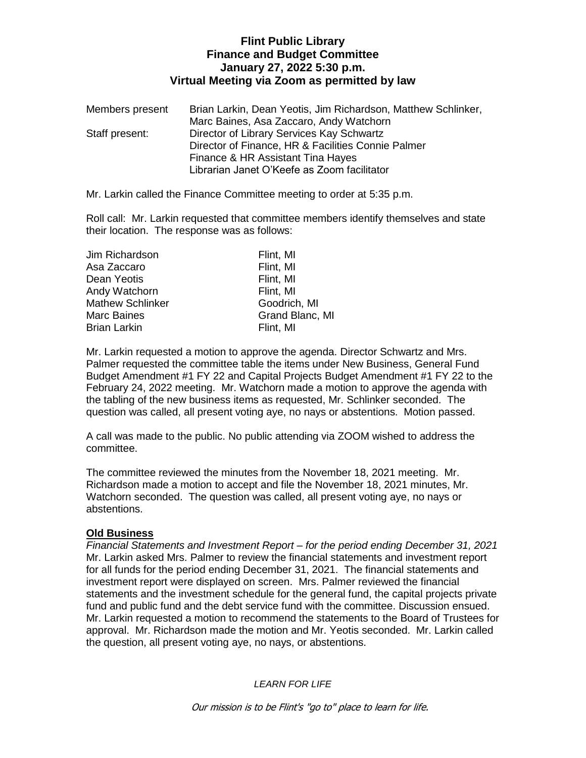# **Flint Public Library Finance and Budget Committee January 27, 2022 5:30 p.m. Virtual Meeting via Zoom as permitted by law**

| Members present | Brian Larkin, Dean Yeotis, Jim Richardson, Matthew Schlinker, |
|-----------------|---------------------------------------------------------------|
|                 | Marc Baines, Asa Zaccaro, Andy Watchorn                       |
| Staff present:  | Director of Library Services Kay Schwartz                     |
|                 | Director of Finance, HR & Facilities Connie Palmer            |
|                 | Finance & HR Assistant Tina Hayes                             |
|                 | Librarian Janet O'Keefe as Zoom facilitator                   |

Mr. Larkin called the Finance Committee meeting to order at 5:35 p.m.

Roll call: Mr. Larkin requested that committee members identify themselves and state their location. The response was as follows:

| Flint, MI       |
|-----------------|
| Flint, MI       |
| Flint, MI       |
| Flint, MI       |
| Goodrich, MI    |
| Grand Blanc, MI |
| Flint, MI       |
|                 |

Mr. Larkin requested a motion to approve the agenda. Director Schwartz and Mrs. Palmer requested the committee table the items under New Business, General Fund Budget Amendment #1 FY 22 and Capital Projects Budget Amendment #1 FY 22 to the February 24, 2022 meeting. Mr. Watchorn made a motion to approve the agenda with the tabling of the new business items as requested, Mr. Schlinker seconded. The question was called, all present voting aye, no nays or abstentions. Motion passed.

A call was made to the public. No public attending via ZOOM wished to address the committee.

The committee reviewed the minutes from the November 18, 2021 meeting. Mr. Richardson made a motion to accept and file the November 18, 2021 minutes, Mr. Watchorn seconded. The question was called, all present voting aye, no nays or abstentions.

### **Old Business**

*Financial Statements and Investment Report – for the period ending December 31, 2021* Mr. Larkin asked Mrs. Palmer to review the financial statements and investment report for all funds for the period ending December 31, 2021. The financial statements and investment report were displayed on screen. Mrs. Palmer reviewed the financial statements and the investment schedule for the general fund, the capital projects private fund and public fund and the debt service fund with the committee. Discussion ensued. Mr. Larkin requested a motion to recommend the statements to the Board of Trustees for approval. Mr. Richardson made the motion and Mr. Yeotis seconded. Mr. Larkin called the question, all present voting aye, no nays, or abstentions.

*LEARN FOR LIFE*

Our mission is to be Flint's "go to" place to learn for life.